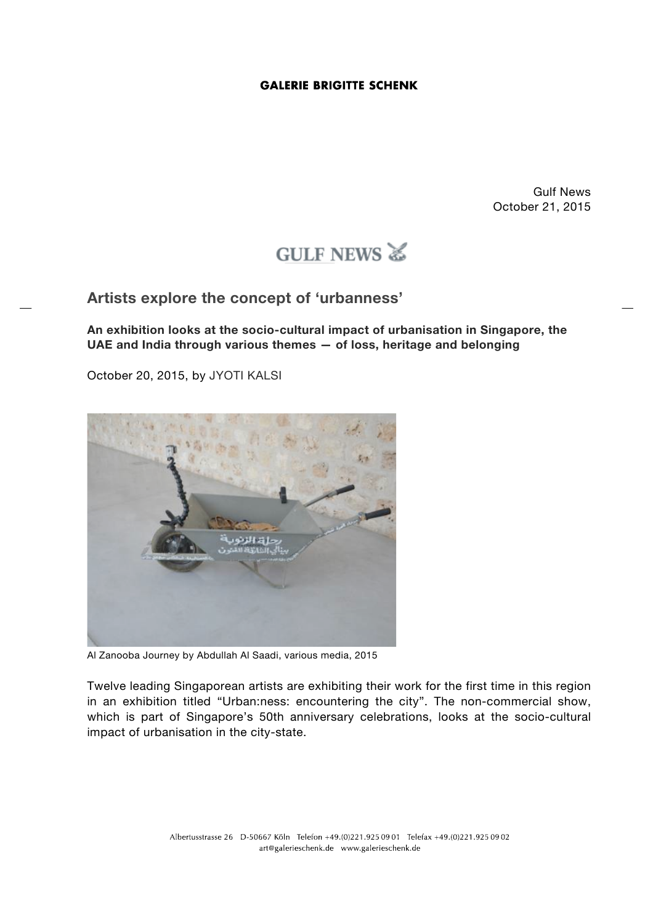Gulf News October 21, 2015

# GULF NEWS

**Artists explore the concept of 'urbanness'**

**An exhibition looks at the socio-cultural impact of urbanisation in Singapore, the UAE and India through various themes — of loss, heritage and belonging**

October 20, 2015, by JYOTI KALSI



Al Zanooba Journey by Abdullah Al Saadi, various media, 2015

Twelve leading Singaporean artists are exhibiting their work for the first time in this region in an exhibition titled "Urban:ness: encountering the city". The non-commercial show, which is part of Singapore's 50th anniversary celebrations, looks at the socio-cultural impact of urbanisation in the city-state.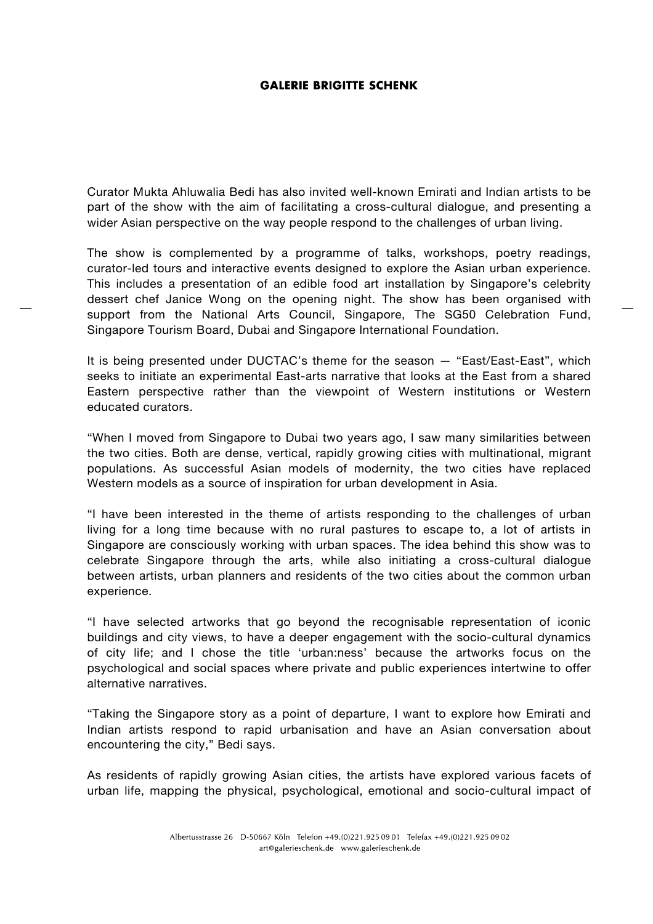Curator Mukta Ahluwalia Bedi has also invited well-known Emirati and Indian artists to be part of the show with the aim of facilitating a cross-cultural dialogue, and presenting a wider Asian perspective on the way people respond to the challenges of urban living.

The show is complemented by a programme of talks, workshops, poetry readings, curator-led tours and interactive events designed to explore the Asian urban experience. This includes a presentation of an edible food art installation by Singapore's celebrity dessert chef Janice Wong on the opening night. The show has been organised with support from the National Arts Council, Singapore, The SG50 Celebration Fund, Singapore Tourism Board, Dubai and Singapore International Foundation.

It is being presented under DUCTAC's theme for the season — "East/East-East", which seeks to initiate an experimental East-arts narrative that looks at the East from a shared Eastern perspective rather than the viewpoint of Western institutions or Western educated curators.

"When I moved from Singapore to Dubai two years ago, I saw many similarities between the two cities. Both are dense, vertical, rapidly growing cities with multinational, migrant populations. As successful Asian models of modernity, the two cities have replaced Western models as a source of inspiration for urban development in Asia.

"I have been interested in the theme of artists responding to the challenges of urban living for a long time because with no rural pastures to escape to, a lot of artists in Singapore are consciously working with urban spaces. The idea behind this show was to celebrate Singapore through the arts, while also initiating a cross-cultural dialogue between artists, urban planners and residents of the two cities about the common urban experience.

"I have selected artworks that go beyond the recognisable representation of iconic buildings and city views, to have a deeper engagement with the socio-cultural dynamics of city life; and I chose the title 'urban:ness' because the artworks focus on the psychological and social spaces where private and public experiences intertwine to offer alternative narratives.

"Taking the Singapore story as a point of departure, I want to explore how Emirati and Indian artists respond to rapid urbanisation and have an Asian conversation about encountering the city," Bedi says.

As residents of rapidly growing Asian cities, the artists have explored various facets of urban life, mapping the physical, psychological, emotional and socio-cultural impact of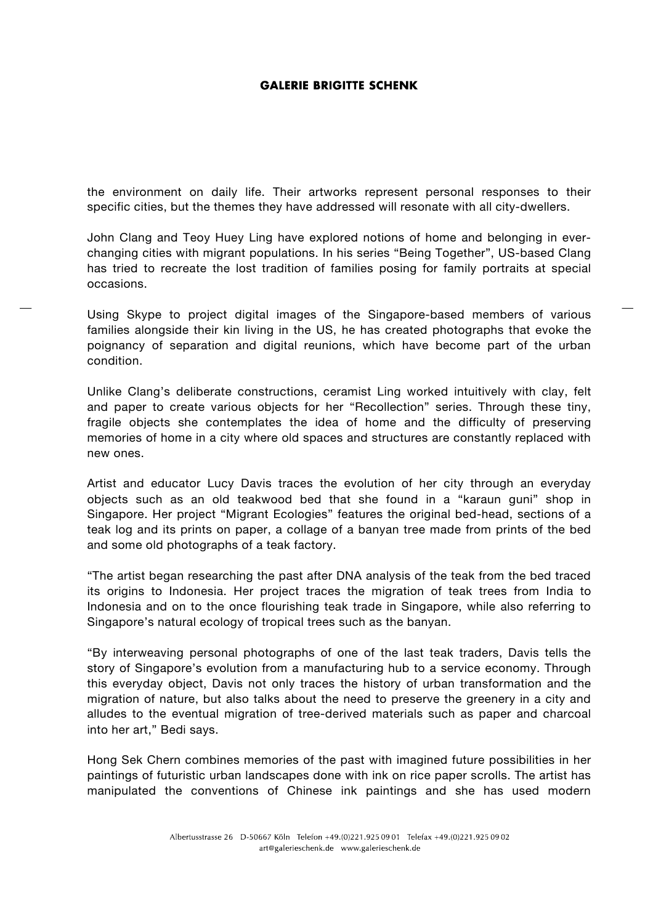the environment on daily life. Their artworks represent personal responses to their specific cities, but the themes they have addressed will resonate with all city-dwellers.

John Clang and Teoy Huey Ling have explored notions of home and belonging in everchanging cities with migrant populations. In his series "Being Together", US-based Clang has tried to recreate the lost tradition of families posing for family portraits at special occasions.

Using Skype to project digital images of the Singapore-based members of various families alongside their kin living in the US, he has created photographs that evoke the poignancy of separation and digital reunions, which have become part of the urban condition.

Unlike Clang's deliberate constructions, ceramist Ling worked intuitively with clay, felt and paper to create various objects for her "Recollection" series. Through these tiny, fragile objects she contemplates the idea of home and the difficulty of preserving memories of home in a city where old spaces and structures are constantly replaced with new ones.

Artist and educator Lucy Davis traces the evolution of her city through an everyday objects such as an old teakwood bed that she found in a "karaun guni" shop in Singapore. Her project "Migrant Ecologies" features the original bed-head, sections of a teak log and its prints on paper, a collage of a banyan tree made from prints of the bed and some old photographs of a teak factory.

"The artist began researching the past after DNA analysis of the teak from the bed traced its origins to Indonesia. Her project traces the migration of teak trees from India to Indonesia and on to the once flourishing teak trade in Singapore, while also referring to Singapore's natural ecology of tropical trees such as the banyan.

"By interweaving personal photographs of one of the last teak traders, Davis tells the story of Singapore's evolution from a manufacturing hub to a service economy. Through this everyday object, Davis not only traces the history of urban transformation and the migration of nature, but also talks about the need to preserve the greenery in a city and alludes to the eventual migration of tree-derived materials such as paper and charcoal into her art," Bedi says.

Hong Sek Chern combines memories of the past with imagined future possibilities in her paintings of futuristic urban landscapes done with ink on rice paper scrolls. The artist has manipulated the conventions of Chinese ink paintings and she has used modern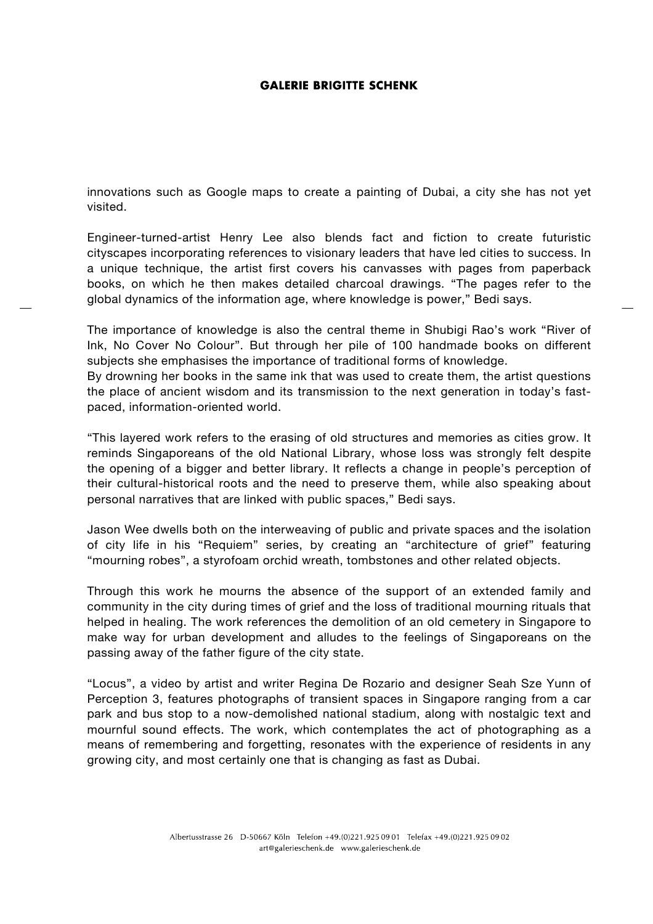innovations such as Google maps to create a painting of Dubai, a city she has not yet visited.

Engineer-turned-artist Henry Lee also blends fact and fiction to create futuristic cityscapes incorporating references to visionary leaders that have led cities to success. In a unique technique, the artist first covers his canvasses with pages from paperback books, on which he then makes detailed charcoal drawings. "The pages refer to the global dynamics of the information age, where knowledge is power," Bedi says.

The importance of knowledge is also the central theme in Shubigi Rao's work "River of Ink, No Cover No Colour". But through her pile of 100 handmade books on different subjects she emphasises the importance of traditional forms of knowledge.

By drowning her books in the same ink that was used to create them, the artist questions the place of ancient wisdom and its transmission to the next generation in today's fastpaced, information-oriented world.

"This layered work refers to the erasing of old structures and memories as cities grow. It reminds Singaporeans of the old National Library, whose loss was strongly felt despite the opening of a bigger and better library. It reflects a change in people's perception of their cultural-historical roots and the need to preserve them, while also speaking about personal narratives that are linked with public spaces," Bedi says.

Jason Wee dwells both on the interweaving of public and private spaces and the isolation of city life in his "Requiem" series, by creating an "architecture of grief" featuring "mourning robes", a styrofoam orchid wreath, tombstones and other related objects.

Through this work he mourns the absence of the support of an extended family and community in the city during times of grief and the loss of traditional mourning rituals that helped in healing. The work references the demolition of an old cemetery in Singapore to make way for urban development and alludes to the feelings of Singaporeans on the passing away of the father figure of the city state.

"Locus", a video by artist and writer Regina De Rozario and designer Seah Sze Yunn of Perception 3, features photographs of transient spaces in Singapore ranging from a car park and bus stop to a now-demolished national stadium, along with nostalgic text and mournful sound effects. The work, which contemplates the act of photographing as a means of remembering and forgetting, resonates with the experience of residents in any growing city, and most certainly one that is changing as fast as Dubai.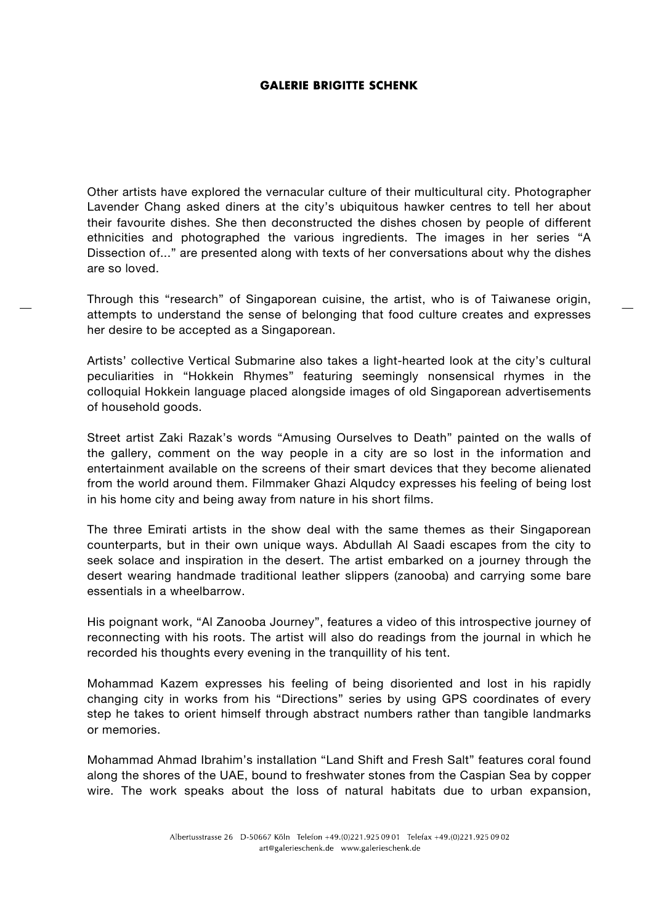Other artists have explored the vernacular culture of their multicultural city. Photographer Lavender Chang asked diners at the city's ubiquitous hawker centres to tell her about their favourite dishes. She then deconstructed the dishes chosen by people of different ethnicities and photographed the various ingredients. The images in her series "A Dissection of..." are presented along with texts of her conversations about why the dishes are so loved.

Through this "research" of Singaporean cuisine, the artist, who is of Taiwanese origin, attempts to understand the sense of belonging that food culture creates and expresses her desire to be accepted as a Singaporean.

Artists' collective Vertical Submarine also takes a light-hearted look at the city's cultural peculiarities in "Hokkein Rhymes" featuring seemingly nonsensical rhymes in the colloquial Hokkein language placed alongside images of old Singaporean advertisements of household goods.

Street artist Zaki Razak's words "Amusing Ourselves to Death" painted on the walls of the gallery, comment on the way people in a city are so lost in the information and entertainment available on the screens of their smart devices that they become alienated from the world around them. Filmmaker Ghazi Alqudcy expresses his feeling of being lost in his home city and being away from nature in his short films.

The three Emirati artists in the show deal with the same themes as their Singaporean counterparts, but in their own unique ways. Abdullah Al Saadi escapes from the city to seek solace and inspiration in the desert. The artist embarked on a journey through the desert wearing handmade traditional leather slippers (zanooba) and carrying some bare essentials in a wheelbarrow.

His poignant work, "Al Zanooba Journey", features a video of this introspective journey of reconnecting with his roots. The artist will also do readings from the journal in which he recorded his thoughts every evening in the tranquillity of his tent.

Mohammad Kazem expresses his feeling of being disoriented and lost in his rapidly changing city in works from his "Directions" series by using GPS coordinates of every step he takes to orient himself through abstract numbers rather than tangible landmarks or memories.

Mohammad Ahmad Ibrahim's installation "Land Shift and Fresh Salt" features coral found along the shores of the UAE, bound to freshwater stones from the Caspian Sea by copper wire. The work speaks about the loss of natural habitats due to urban expansion,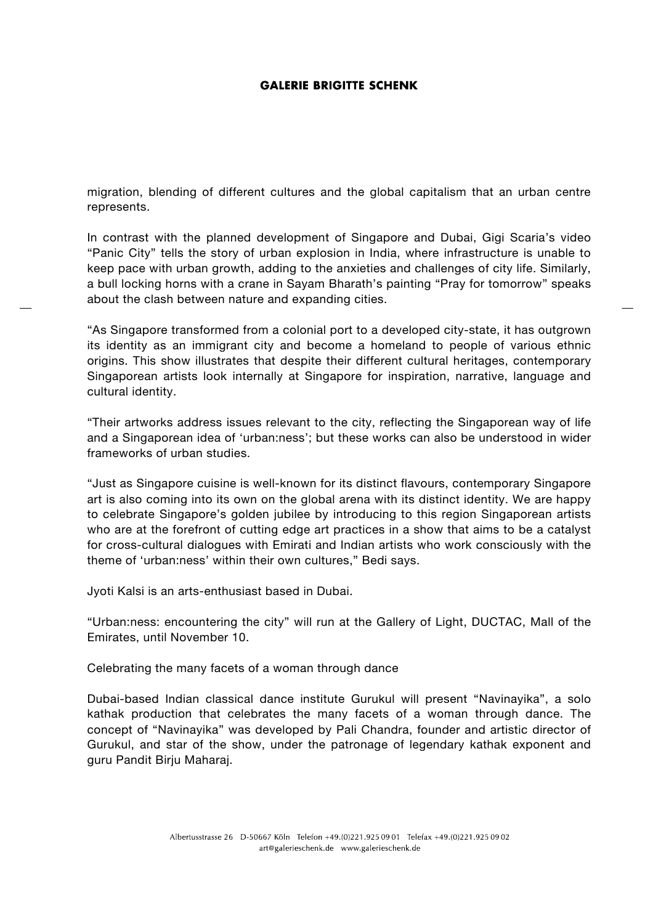migration, blending of different cultures and the global capitalism that an urban centre represents.

In contrast with the planned development of Singapore and Dubai, Gigi Scaria's video "Panic City" tells the story of urban explosion in India, where infrastructure is unable to keep pace with urban growth, adding to the anxieties and challenges of city life. Similarly, a bull locking horns with a crane in Sayam Bharath's painting "Pray for tomorrow" speaks about the clash between nature and expanding cities.

"As Singapore transformed from a colonial port to a developed city-state, it has outgrown its identity as an immigrant city and become a homeland to people of various ethnic origins. This show illustrates that despite their different cultural heritages, contemporary Singaporean artists look internally at Singapore for inspiration, narrative, language and cultural identity.

"Their artworks address issues relevant to the city, reflecting the Singaporean way of life and a Singaporean idea of 'urban:ness'; but these works can also be understood in wider frameworks of urban studies.

"Just as Singapore cuisine is well-known for its distinct flavours, contemporary Singapore art is also coming into its own on the global arena with its distinct identity. We are happy to celebrate Singapore's golden jubilee by introducing to this region Singaporean artists who are at the forefront of cutting edge art practices in a show that aims to be a catalyst for cross-cultural dialogues with Emirati and Indian artists who work consciously with the theme of 'urban:ness' within their own cultures," Bedi says.

Jyoti Kalsi is an arts-enthusiast based in Dubai.

"Urban:ness: encountering the city" will run at the Gallery of Light, DUCTAC, Mall of the Emirates, until November 10.

Celebrating the many facets of a woman through dance

Dubai-based Indian classical dance institute Gurukul will present "Navinayika", a solo kathak production that celebrates the many facets of a woman through dance. The concept of "Navinayika" was developed by Pali Chandra, founder and artistic director of Gurukul, and star of the show, under the patronage of legendary kathak exponent and guru Pandit Birju Maharaj.